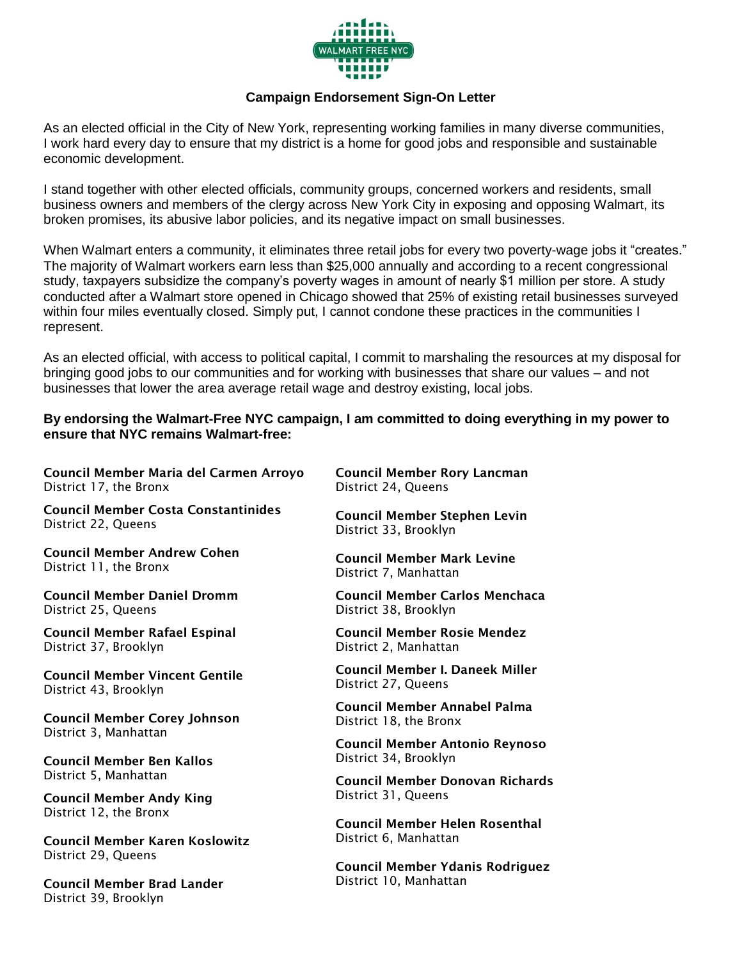

## **Campaign Endorsement Sign-On Letter**

As an elected official in the City of New York, representing working families in many diverse communities, I work hard every day to ensure that my district is a home for good jobs and responsible and sustainable economic development.

I stand together with other elected officials, community groups, concerned workers and residents, small business owners and members of the clergy across New York City in exposing and opposing Walmart, its broken promises, its abusive labor policies, and its negative impact on small businesses.

When Walmart enters a community, it eliminates three retail jobs for every two poverty-wage jobs it "creates." The majority of Walmart workers earn less than \$25,000 annually and according to a recent congressional study, taxpayers subsidize the company's poverty wages in amount of nearly \$1 million per store. A study conducted after a Walmart store opened in Chicago showed that 25% of existing retail businesses surveyed within four miles eventually closed. Simply put, I cannot condone these practices in the communities I represent.

As an elected official, with access to political capital, I commit to marshaling the resources at my disposal for bringing good jobs to our communities and for working with businesses that share our values – and not businesses that lower the area average retail wage and destroy existing, local jobs.

## **By endorsing the Walmart-Free NYC campaign, I am committed to doing everything in my power to ensure that NYC remains Walmart-free:**

**Council Member Maria del Carmen Arroyo**  District 17, the Bronx

**Council Member Costa Constantinides** District 22, Queens

**Council Member Andrew Cohen** District 11, the Bronx

**Council Member Daniel Dromm** District 25, Queens

**Council Member Rafael Espinal** District 37, Brooklyn

**Council Member Vincent Gentile** District 43, Brooklyn

**Council Member Corey Johnson** District 3, Manhattan

**Council Member Ben Kallos** District 5, Manhattan

**Council Member Andy King** District 12, the Bronx

**Council Member Karen Koslowitz** District 29, Queens

**Council Member Brad Lander** District 39, Brooklyn

**Council Member Rory Lancman** District 24, Queens

**Council Member Stephen Levin** District 33, Brooklyn

**Council Member Mark Levine** District 7, Manhattan

**Council Member Carlos Menchaca** District 38, Brooklyn

**Council Member Rosie Mendez** District 2, Manhattan

**Council Member I. Daneek Miller** District 27, Queens

**Council Member Annabel Palma** District 18, the Bronx

**Council Member Antonio Reynoso** District 34, Brooklyn

**Council Member Donovan Richards** District 31, Queens

**Council Member Helen Rosenthal** District 6, Manhattan

**Council Member Ydanis Rodriguez** District 10, Manhattan